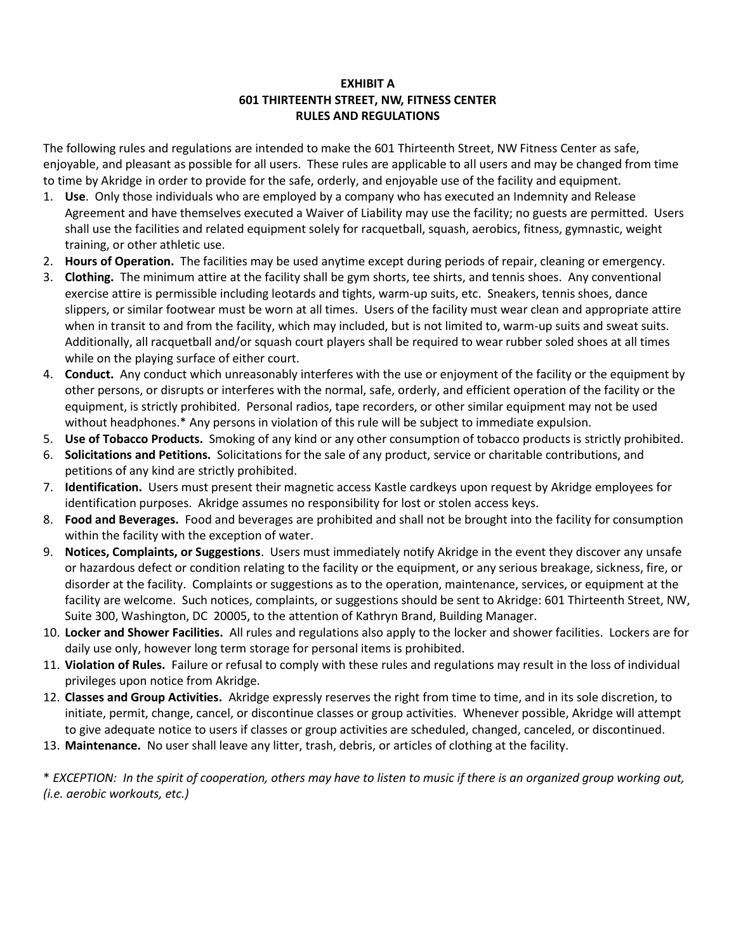## **EXHIBIT A 601 THIRTEENTH STREET, NW, FITNESS CENTER RULES AND REGULATIONS**

The following rules and regulations are intended to make the 601 Thirteenth Street, NW Fitness Center as safe, enjoyable, and pleasant as possible for all users. These rules are applicable to all users and may be changed from time to time by Akridge in order to provide for the safe, orderly, and enjoyable use of the facility and equipment.

- 1. **Use**. Only those individuals who are employed by a company who has executed an Indemnity and Release Agreement and have themselves executed a Waiver of Liability may use the facility; no guests are permitted. Users shall use the facilities and related equipment solely for racquetball, squash, aerobics, fitness, gymnastic, weight training, or other athletic use.
- 2. **Hours of Operation.** The facilities may be used anytime except during periods of repair, cleaning or emergency.
- 3. **Clothing.** The minimum attire at the facility shall be gym shorts, tee shirts, and tennis shoes. Any conventional exercise attire is permissible including leotards and tights, warm-up suits, etc. Sneakers, tennis shoes, dance slippers, or similar footwear must be worn at all times. Users of the facility must wear clean and appropriate attire when in transit to and from the facility, which may included, but is not limited to, warm-up suits and sweat suits. Additionally, all racquetball and/or squash court players shall be required to wear rubber soled shoes at all times while on the playing surface of either court.
- 4. **Conduct.** Any conduct which unreasonably interferes with the use or enjoyment of the facility or the equipment by other persons, or disrupts or interferes with the normal, safe, orderly, and efficient operation of the facility or the equipment, is strictly prohibited. Personal radios, tape recorders, or other similar equipment may not be used without headphones.\* Any persons in violation of this rule will be subject to immediate expulsion.
- 5. **Use of Tobacco Products.** Smoking of any kind or any other consumption of tobacco products is strictly prohibited.
- 6. **Solicitations and Petitions.** Solicitations for the sale of any product, service or charitable contributions, and petitions of any kind are strictly prohibited.
- 7. **Identification.** Users must present their magnetic access Kastle cardkeys upon request by Akridge employees for identification purposes. Akridge assumes no responsibility for lost or stolen access keys.
- 8. **Food and Beverages.** Food and beverages are prohibited and shall not be brought into the facility for consumption within the facility with the exception of water.
- 9. **Notices, Complaints, or Suggestions**. Users must immediately notify Akridge in the event they discover any unsafe or hazardous defect or condition relating to the facility or the equipment, or any serious breakage, sickness, fire, or disorder at the facility. Complaints or suggestions as to the operation, maintenance, services, or equipment at the facility are welcome. Such notices, complaints, or suggestions should be sent to Akridge: 601 Thirteenth Street, NW, Suite 300, Washington, DC 20005, to the attention of Kathryn Brand, Building Manager.
- 10. **Locker and Shower Facilities.** All rules and regulations also apply to the locker and shower facilities. Lockers are for daily use only, however long term storage for personal items is prohibited.
- 11. **Violation of Rules.** Failure or refusal to comply with these rules and regulations may result in the loss of individual privileges upon notice from Akridge.
- 12. **Classes and Group Activities.** Akridge expressly reserves the right from time to time, and in its sole discretion, to initiate, permit, change, cancel, or discontinue classes or group activities. Whenever possible, Akridge will attempt to give adequate notice to users if classes or group activities are scheduled, changed, canceled, or discontinued.
- 13. **Maintenance.** No user shall leave any litter, trash, debris, or articles of clothing at the facility.

\* *EXCEPTION: In the spirit of cooperation, others may have to listen to music if there is an organized group working out, (i.e. aerobic workouts, etc.)*